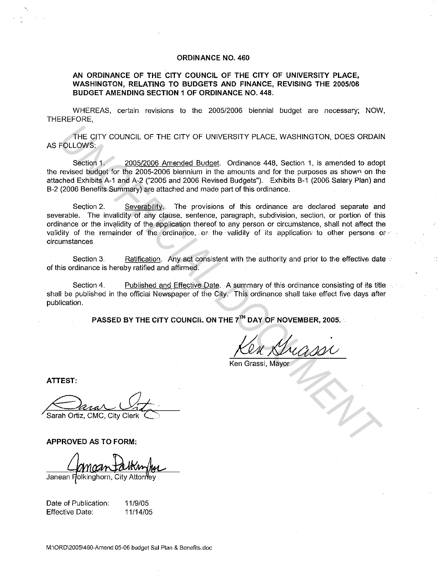### **ORDINANCE NO. 460**

# **AN ORDINANCE OF THE CITY COUNCIL OF THE CITY OF UNIVERSITY PLACE, WASHINGTON, RELATING TO BUDGETS AND FINANCE, REVISING THE 2005/06 BUDGET AMENDING SECTION 1 OF ORDINANCE NO. 448.**

WHEREAS, certain revisions to the 2005/2006 biennial budget are necessary; NOW, THEREFORE,

THE CITY COUNCIL OF THE CITY OF UNIVERSITY PLACE, WASHINGTON, DOES ORDAIN AS FOLLOWS:

Section 1. 2005/2006 Amended Budget. Ordinance 448, Section 1, is amended to adopt the revised budget for the 2005-2006 biennium in the amounts and for the purposes as shown on the attached Exhibits A-1 and A-2 ("2005 and 2006 Revised Budgets"). Exhibits B-1 (2006 Salary Plan) and B-2 (2006 Benefits Summary) are attached and made part of this ordinance.

Section 2. Severability. The provisions of this ordinance are declared separate and severable. The invalidity of any clause, sentence, paragraph, subdivision, section, or portion of this ordinance or the invalidity of the application thereof to any person or circumstance, shall not affect the validity of the remainder of the ordinance, or the validity of its application to other persons or  $\sim$ circumstances THE CITY COUNCIL OF THE CITY OF UNIVERSITY PLACE, WASHINGTON, DOES ORDAIN<br>
Section 1,<br>
Section 1, 2005/2006 Amended Budget. Ordinance 448, Section 1, is amended to ado<br>
erevised budget for the 2005-2006 amendment in the am

Section 3. Ratification. Any act consistent with the authority and prior to the effective date  $\psi$ of this ordinance is hereby ratified and affirmed.

Section 4. Published and Effective Date. A summary of this ordinance consisting of its title shall be published in the official Newspaper of the City. This ordinance shall take effect five days after publication.

**PASSED BY THE CITY COUNCIL ON THE** 7TH **DAY OF NOVEMBER, 2005.** 

Ken Grassi, Mayor

**ATTEST:** 

Sarah Ortiz, CMC, City Clerk

**APPROVED AS TO FORM:** 

Janean Holkinghorn, City Attorney

Date of Publication: Effective Date:

11/9/05 11/14/05

M:\ORD\2005\460-Amend 05-06 budget Sal Plan & Benefits.doc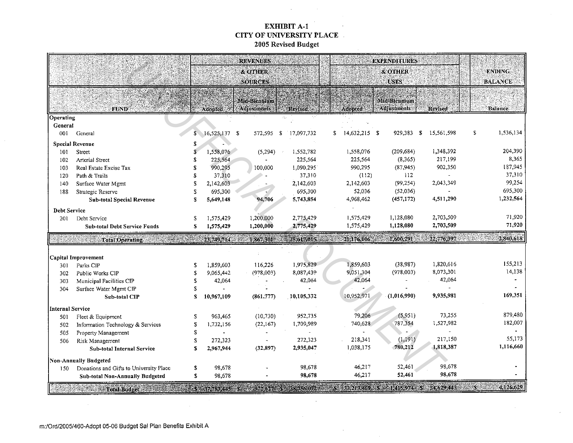#### EXHIBIT A-1  $\sim$  . CITY OF UNIVERSITY PLACE 2005 Revised Budget

 $\mathcal{L}(\mathcal{A})$  and  $\mathcal{L}(\mathcal{A})$  .

| <b>&amp; OTHER</b><br><b>ENDING</b><br>& OTHER<br><b>USES</b><br><b>BALANCE</b><br><b>SOURCES</b><br>Mid-Biennium<br>Mid-Biennium<br>Adjustments<br><b>Adjustments</b><br><b>Adopted:</b><br><b>Adopted:</b><br><b>FUND</b><br><b>Revised.</b><br><b>Revised</b><br><b>Balance</b><br>Operating<br>General<br>1,536,134<br>S<br>17,097,732<br>14,632,215 \$<br>929,383<br>$\mathbf S$<br>15,561.598<br>\$<br>001<br>General<br>16,525,137<br>- \$<br>572,595<br>S.<br>\$<br><b>Special Revenue</b><br>\$<br>204.390<br>(209, 684)<br>1,348.392<br>1,558,076<br>1,558,076<br>Street<br>(5, 294)<br>1,552,782<br>101<br>\$<br>8,365<br>217,199<br>225,564<br>225,564<br>(8, 365)<br>\$<br>225,564<br>102<br>Arterial Street<br>187,945<br>902,350<br>990,295<br>1,090.295<br>990,295<br>(87, 945)<br>Real Estate Excise Tax<br>S<br>100,000<br>103<br>37,310<br>37,310<br>37,310<br>112<br>Path & Trails<br>S.<br>(112)<br>120<br>99,254<br>2,142,603<br>(99, 254)<br>2,043,349<br>S<br>2,142,603<br>2,142,603<br>140<br>Surface Water Mgmt<br>695,300<br>52,036<br>(52,036)<br>\$<br>695,300<br>695.300<br>188<br>Strategic Reserve<br>1,232,564<br>4,511,290<br>94,706<br>4,968,462<br>(457, 172)<br><b>Sub-total Special Revenue</b><br>S<br>5,649,148<br>5,743,854<br><b>Debt Service</b><br>71,920<br>2,703,509<br>1,200,000<br>1,575,429<br>1,128,080<br>1,575,429<br>2,775,429<br>Debt Service<br>201<br>\$.<br>71,920<br>1,128,080<br>2,703,509<br>1,200,000<br>2,775.429<br>1,575,429<br>\$<br>1,575,429<br><b>Sub-total Debt Service Funds</b><br>2,840,618<br>1,600,291<br>22,776,397<br>swerante<br>21,176,106<br>$-23,749,714$<br>1,867,301<br>1.25,617,015<br><b>Total Operating</b><br>Capital Improvement<br>155,213<br>1,820.616<br>1,859,603<br>(38,987)<br>1,975,829<br>1,859,603<br>116,226<br>Parks CIP<br>\$<br>301<br>14,138<br>(978,003)<br>8,073,301<br>9,051,304<br>(978,003)<br>8,087,439<br>9,065,442<br>Public Works CIP<br>S<br>302<br>42,064<br>42,064<br>42,064<br>42,064<br>303<br>Municipal Facilities CIP<br>S<br>304<br>Surface Water Mgmt CIP<br>S<br>169,351<br>10,952,971<br>9,935,981<br>10,105,332<br>(1,016,990)<br>10,967,109<br>(861,777)<br>$\mathbf{s}$<br><b>Sub-total CIP</b><br>Internal Service<br>879,480<br>79,206<br>(5,951)<br>73,255<br>952,735<br>(10, 730)<br>963,465<br>Fleet & Equipment<br>S<br>501<br>182,007<br>1,527,982<br>740,628<br>787,354<br>1,709,989<br>S<br>1,732,156<br>(22,167)<br>Information Technology & Services<br>502<br>\$<br>Property Management<br>505<br>55.173<br>217,150<br>218,341<br>(1, 191)<br>272,323<br>\$<br>272,323<br>Risk Management<br>506<br>1,116,660<br>780,212<br>1,818,387<br>1,038,175<br>(32, 897)<br>2,935,047<br>s<br>2,967,944<br>Sub-total Internal Service<br>Non-Annually Budgeted<br>98,678<br>52,461<br>46,217<br>98.678<br>98,678<br>\$<br>Donations and Gifts to University Place<br>150<br>98.678<br>52,461<br>46,217<br>\$<br>98,678<br>98.678<br><b>Sub-total Non-Annually Budgeted</b> |  |                                                |  |  | <b>REVENUES</b> |  |  | <b>EXPENDITURES</b> |  |           |
|-----------------------------------------------------------------------------------------------------------------------------------------------------------------------------------------------------------------------------------------------------------------------------------------------------------------------------------------------------------------------------------------------------------------------------------------------------------------------------------------------------------------------------------------------------------------------------------------------------------------------------------------------------------------------------------------------------------------------------------------------------------------------------------------------------------------------------------------------------------------------------------------------------------------------------------------------------------------------------------------------------------------------------------------------------------------------------------------------------------------------------------------------------------------------------------------------------------------------------------------------------------------------------------------------------------------------------------------------------------------------------------------------------------------------------------------------------------------------------------------------------------------------------------------------------------------------------------------------------------------------------------------------------------------------------------------------------------------------------------------------------------------------------------------------------------------------------------------------------------------------------------------------------------------------------------------------------------------------------------------------------------------------------------------------------------------------------------------------------------------------------------------------------------------------------------------------------------------------------------------------------------------------------------------------------------------------------------------------------------------------------------------------------------------------------------------------------------------------------------------------------------------------------------------------------------------------------------------------------------------------------------------------------------------------------------------------------------------------------------------------------------------------------------------------------------------------------------------------------------------------------------------------------------------------------------------------------------------------------------------------------------|--|------------------------------------------------|--|--|-----------------|--|--|---------------------|--|-----------|
|                                                                                                                                                                                                                                                                                                                                                                                                                                                                                                                                                                                                                                                                                                                                                                                                                                                                                                                                                                                                                                                                                                                                                                                                                                                                                                                                                                                                                                                                                                                                                                                                                                                                                                                                                                                                                                                                                                                                                                                                                                                                                                                                                                                                                                                                                                                                                                                                                                                                                                                                                                                                                                                                                                                                                                                                                                                                                                                                                                                                           |  |                                                |  |  |                 |  |  |                     |  |           |
|                                                                                                                                                                                                                                                                                                                                                                                                                                                                                                                                                                                                                                                                                                                                                                                                                                                                                                                                                                                                                                                                                                                                                                                                                                                                                                                                                                                                                                                                                                                                                                                                                                                                                                                                                                                                                                                                                                                                                                                                                                                                                                                                                                                                                                                                                                                                                                                                                                                                                                                                                                                                                                                                                                                                                                                                                                                                                                                                                                                                           |  |                                                |  |  |                 |  |  |                     |  |           |
|                                                                                                                                                                                                                                                                                                                                                                                                                                                                                                                                                                                                                                                                                                                                                                                                                                                                                                                                                                                                                                                                                                                                                                                                                                                                                                                                                                                                                                                                                                                                                                                                                                                                                                                                                                                                                                                                                                                                                                                                                                                                                                                                                                                                                                                                                                                                                                                                                                                                                                                                                                                                                                                                                                                                                                                                                                                                                                                                                                                                           |  |                                                |  |  |                 |  |  |                     |  |           |
|                                                                                                                                                                                                                                                                                                                                                                                                                                                                                                                                                                                                                                                                                                                                                                                                                                                                                                                                                                                                                                                                                                                                                                                                                                                                                                                                                                                                                                                                                                                                                                                                                                                                                                                                                                                                                                                                                                                                                                                                                                                                                                                                                                                                                                                                                                                                                                                                                                                                                                                                                                                                                                                                                                                                                                                                                                                                                                                                                                                                           |  |                                                |  |  |                 |  |  |                     |  |           |
|                                                                                                                                                                                                                                                                                                                                                                                                                                                                                                                                                                                                                                                                                                                                                                                                                                                                                                                                                                                                                                                                                                                                                                                                                                                                                                                                                                                                                                                                                                                                                                                                                                                                                                                                                                                                                                                                                                                                                                                                                                                                                                                                                                                                                                                                                                                                                                                                                                                                                                                                                                                                                                                                                                                                                                                                                                                                                                                                                                                                           |  |                                                |  |  |                 |  |  |                     |  |           |
|                                                                                                                                                                                                                                                                                                                                                                                                                                                                                                                                                                                                                                                                                                                                                                                                                                                                                                                                                                                                                                                                                                                                                                                                                                                                                                                                                                                                                                                                                                                                                                                                                                                                                                                                                                                                                                                                                                                                                                                                                                                                                                                                                                                                                                                                                                                                                                                                                                                                                                                                                                                                                                                                                                                                                                                                                                                                                                                                                                                                           |  |                                                |  |  |                 |  |  |                     |  |           |
|                                                                                                                                                                                                                                                                                                                                                                                                                                                                                                                                                                                                                                                                                                                                                                                                                                                                                                                                                                                                                                                                                                                                                                                                                                                                                                                                                                                                                                                                                                                                                                                                                                                                                                                                                                                                                                                                                                                                                                                                                                                                                                                                                                                                                                                                                                                                                                                                                                                                                                                                                                                                                                                                                                                                                                                                                                                                                                                                                                                                           |  |                                                |  |  |                 |  |  |                     |  |           |
|                                                                                                                                                                                                                                                                                                                                                                                                                                                                                                                                                                                                                                                                                                                                                                                                                                                                                                                                                                                                                                                                                                                                                                                                                                                                                                                                                                                                                                                                                                                                                                                                                                                                                                                                                                                                                                                                                                                                                                                                                                                                                                                                                                                                                                                                                                                                                                                                                                                                                                                                                                                                                                                                                                                                                                                                                                                                                                                                                                                                           |  |                                                |  |  |                 |  |  |                     |  |           |
|                                                                                                                                                                                                                                                                                                                                                                                                                                                                                                                                                                                                                                                                                                                                                                                                                                                                                                                                                                                                                                                                                                                                                                                                                                                                                                                                                                                                                                                                                                                                                                                                                                                                                                                                                                                                                                                                                                                                                                                                                                                                                                                                                                                                                                                                                                                                                                                                                                                                                                                                                                                                                                                                                                                                                                                                                                                                                                                                                                                                           |  |                                                |  |  |                 |  |  |                     |  |           |
|                                                                                                                                                                                                                                                                                                                                                                                                                                                                                                                                                                                                                                                                                                                                                                                                                                                                                                                                                                                                                                                                                                                                                                                                                                                                                                                                                                                                                                                                                                                                                                                                                                                                                                                                                                                                                                                                                                                                                                                                                                                                                                                                                                                                                                                                                                                                                                                                                                                                                                                                                                                                                                                                                                                                                                                                                                                                                                                                                                                                           |  |                                                |  |  |                 |  |  |                     |  |           |
|                                                                                                                                                                                                                                                                                                                                                                                                                                                                                                                                                                                                                                                                                                                                                                                                                                                                                                                                                                                                                                                                                                                                                                                                                                                                                                                                                                                                                                                                                                                                                                                                                                                                                                                                                                                                                                                                                                                                                                                                                                                                                                                                                                                                                                                                                                                                                                                                                                                                                                                                                                                                                                                                                                                                                                                                                                                                                                                                                                                                           |  |                                                |  |  |                 |  |  |                     |  |           |
|                                                                                                                                                                                                                                                                                                                                                                                                                                                                                                                                                                                                                                                                                                                                                                                                                                                                                                                                                                                                                                                                                                                                                                                                                                                                                                                                                                                                                                                                                                                                                                                                                                                                                                                                                                                                                                                                                                                                                                                                                                                                                                                                                                                                                                                                                                                                                                                                                                                                                                                                                                                                                                                                                                                                                                                                                                                                                                                                                                                                           |  |                                                |  |  |                 |  |  |                     |  |           |
|                                                                                                                                                                                                                                                                                                                                                                                                                                                                                                                                                                                                                                                                                                                                                                                                                                                                                                                                                                                                                                                                                                                                                                                                                                                                                                                                                                                                                                                                                                                                                                                                                                                                                                                                                                                                                                                                                                                                                                                                                                                                                                                                                                                                                                                                                                                                                                                                                                                                                                                                                                                                                                                                                                                                                                                                                                                                                                                                                                                                           |  |                                                |  |  |                 |  |  |                     |  |           |
|                                                                                                                                                                                                                                                                                                                                                                                                                                                                                                                                                                                                                                                                                                                                                                                                                                                                                                                                                                                                                                                                                                                                                                                                                                                                                                                                                                                                                                                                                                                                                                                                                                                                                                                                                                                                                                                                                                                                                                                                                                                                                                                                                                                                                                                                                                                                                                                                                                                                                                                                                                                                                                                                                                                                                                                                                                                                                                                                                                                                           |  |                                                |  |  |                 |  |  |                     |  |           |
|                                                                                                                                                                                                                                                                                                                                                                                                                                                                                                                                                                                                                                                                                                                                                                                                                                                                                                                                                                                                                                                                                                                                                                                                                                                                                                                                                                                                                                                                                                                                                                                                                                                                                                                                                                                                                                                                                                                                                                                                                                                                                                                                                                                                                                                                                                                                                                                                                                                                                                                                                                                                                                                                                                                                                                                                                                                                                                                                                                                                           |  |                                                |  |  |                 |  |  |                     |  |           |
|                                                                                                                                                                                                                                                                                                                                                                                                                                                                                                                                                                                                                                                                                                                                                                                                                                                                                                                                                                                                                                                                                                                                                                                                                                                                                                                                                                                                                                                                                                                                                                                                                                                                                                                                                                                                                                                                                                                                                                                                                                                                                                                                                                                                                                                                                                                                                                                                                                                                                                                                                                                                                                                                                                                                                                                                                                                                                                                                                                                                           |  |                                                |  |  |                 |  |  |                     |  |           |
|                                                                                                                                                                                                                                                                                                                                                                                                                                                                                                                                                                                                                                                                                                                                                                                                                                                                                                                                                                                                                                                                                                                                                                                                                                                                                                                                                                                                                                                                                                                                                                                                                                                                                                                                                                                                                                                                                                                                                                                                                                                                                                                                                                                                                                                                                                                                                                                                                                                                                                                                                                                                                                                                                                                                                                                                                                                                                                                                                                                                           |  |                                                |  |  |                 |  |  |                     |  |           |
|                                                                                                                                                                                                                                                                                                                                                                                                                                                                                                                                                                                                                                                                                                                                                                                                                                                                                                                                                                                                                                                                                                                                                                                                                                                                                                                                                                                                                                                                                                                                                                                                                                                                                                                                                                                                                                                                                                                                                                                                                                                                                                                                                                                                                                                                                                                                                                                                                                                                                                                                                                                                                                                                                                                                                                                                                                                                                                                                                                                                           |  |                                                |  |  |                 |  |  |                     |  |           |
|                                                                                                                                                                                                                                                                                                                                                                                                                                                                                                                                                                                                                                                                                                                                                                                                                                                                                                                                                                                                                                                                                                                                                                                                                                                                                                                                                                                                                                                                                                                                                                                                                                                                                                                                                                                                                                                                                                                                                                                                                                                                                                                                                                                                                                                                                                                                                                                                                                                                                                                                                                                                                                                                                                                                                                                                                                                                                                                                                                                                           |  |                                                |  |  |                 |  |  |                     |  |           |
|                                                                                                                                                                                                                                                                                                                                                                                                                                                                                                                                                                                                                                                                                                                                                                                                                                                                                                                                                                                                                                                                                                                                                                                                                                                                                                                                                                                                                                                                                                                                                                                                                                                                                                                                                                                                                                                                                                                                                                                                                                                                                                                                                                                                                                                                                                                                                                                                                                                                                                                                                                                                                                                                                                                                                                                                                                                                                                                                                                                                           |  |                                                |  |  |                 |  |  |                     |  |           |
|                                                                                                                                                                                                                                                                                                                                                                                                                                                                                                                                                                                                                                                                                                                                                                                                                                                                                                                                                                                                                                                                                                                                                                                                                                                                                                                                                                                                                                                                                                                                                                                                                                                                                                                                                                                                                                                                                                                                                                                                                                                                                                                                                                                                                                                                                                                                                                                                                                                                                                                                                                                                                                                                                                                                                                                                                                                                                                                                                                                                           |  |                                                |  |  |                 |  |  |                     |  |           |
|                                                                                                                                                                                                                                                                                                                                                                                                                                                                                                                                                                                                                                                                                                                                                                                                                                                                                                                                                                                                                                                                                                                                                                                                                                                                                                                                                                                                                                                                                                                                                                                                                                                                                                                                                                                                                                                                                                                                                                                                                                                                                                                                                                                                                                                                                                                                                                                                                                                                                                                                                                                                                                                                                                                                                                                                                                                                                                                                                                                                           |  |                                                |  |  |                 |  |  |                     |  |           |
|                                                                                                                                                                                                                                                                                                                                                                                                                                                                                                                                                                                                                                                                                                                                                                                                                                                                                                                                                                                                                                                                                                                                                                                                                                                                                                                                                                                                                                                                                                                                                                                                                                                                                                                                                                                                                                                                                                                                                                                                                                                                                                                                                                                                                                                                                                                                                                                                                                                                                                                                                                                                                                                                                                                                                                                                                                                                                                                                                                                                           |  |                                                |  |  |                 |  |  |                     |  |           |
|                                                                                                                                                                                                                                                                                                                                                                                                                                                                                                                                                                                                                                                                                                                                                                                                                                                                                                                                                                                                                                                                                                                                                                                                                                                                                                                                                                                                                                                                                                                                                                                                                                                                                                                                                                                                                                                                                                                                                                                                                                                                                                                                                                                                                                                                                                                                                                                                                                                                                                                                                                                                                                                                                                                                                                                                                                                                                                                                                                                                           |  |                                                |  |  |                 |  |  |                     |  |           |
|                                                                                                                                                                                                                                                                                                                                                                                                                                                                                                                                                                                                                                                                                                                                                                                                                                                                                                                                                                                                                                                                                                                                                                                                                                                                                                                                                                                                                                                                                                                                                                                                                                                                                                                                                                                                                                                                                                                                                                                                                                                                                                                                                                                                                                                                                                                                                                                                                                                                                                                                                                                                                                                                                                                                                                                                                                                                                                                                                                                                           |  |                                                |  |  |                 |  |  |                     |  |           |
|                                                                                                                                                                                                                                                                                                                                                                                                                                                                                                                                                                                                                                                                                                                                                                                                                                                                                                                                                                                                                                                                                                                                                                                                                                                                                                                                                                                                                                                                                                                                                                                                                                                                                                                                                                                                                                                                                                                                                                                                                                                                                                                                                                                                                                                                                                                                                                                                                                                                                                                                                                                                                                                                                                                                                                                                                                                                                                                                                                                                           |  |                                                |  |  |                 |  |  |                     |  |           |
|                                                                                                                                                                                                                                                                                                                                                                                                                                                                                                                                                                                                                                                                                                                                                                                                                                                                                                                                                                                                                                                                                                                                                                                                                                                                                                                                                                                                                                                                                                                                                                                                                                                                                                                                                                                                                                                                                                                                                                                                                                                                                                                                                                                                                                                                                                                                                                                                                                                                                                                                                                                                                                                                                                                                                                                                                                                                                                                                                                                                           |  |                                                |  |  |                 |  |  |                     |  |           |
|                                                                                                                                                                                                                                                                                                                                                                                                                                                                                                                                                                                                                                                                                                                                                                                                                                                                                                                                                                                                                                                                                                                                                                                                                                                                                                                                                                                                                                                                                                                                                                                                                                                                                                                                                                                                                                                                                                                                                                                                                                                                                                                                                                                                                                                                                                                                                                                                                                                                                                                                                                                                                                                                                                                                                                                                                                                                                                                                                                                                           |  |                                                |  |  |                 |  |  |                     |  |           |
|                                                                                                                                                                                                                                                                                                                                                                                                                                                                                                                                                                                                                                                                                                                                                                                                                                                                                                                                                                                                                                                                                                                                                                                                                                                                                                                                                                                                                                                                                                                                                                                                                                                                                                                                                                                                                                                                                                                                                                                                                                                                                                                                                                                                                                                                                                                                                                                                                                                                                                                                                                                                                                                                                                                                                                                                                                                                                                                                                                                                           |  |                                                |  |  |                 |  |  |                     |  |           |
|                                                                                                                                                                                                                                                                                                                                                                                                                                                                                                                                                                                                                                                                                                                                                                                                                                                                                                                                                                                                                                                                                                                                                                                                                                                                                                                                                                                                                                                                                                                                                                                                                                                                                                                                                                                                                                                                                                                                                                                                                                                                                                                                                                                                                                                                                                                                                                                                                                                                                                                                                                                                                                                                                                                                                                                                                                                                                                                                                                                                           |  |                                                |  |  |                 |  |  |                     |  |           |
|                                                                                                                                                                                                                                                                                                                                                                                                                                                                                                                                                                                                                                                                                                                                                                                                                                                                                                                                                                                                                                                                                                                                                                                                                                                                                                                                                                                                                                                                                                                                                                                                                                                                                                                                                                                                                                                                                                                                                                                                                                                                                                                                                                                                                                                                                                                                                                                                                                                                                                                                                                                                                                                                                                                                                                                                                                                                                                                                                                                                           |  |                                                |  |  |                 |  |  |                     |  |           |
|                                                                                                                                                                                                                                                                                                                                                                                                                                                                                                                                                                                                                                                                                                                                                                                                                                                                                                                                                                                                                                                                                                                                                                                                                                                                                                                                                                                                                                                                                                                                                                                                                                                                                                                                                                                                                                                                                                                                                                                                                                                                                                                                                                                                                                                                                                                                                                                                                                                                                                                                                                                                                                                                                                                                                                                                                                                                                                                                                                                                           |  |                                                |  |  |                 |  |  |                     |  |           |
|                                                                                                                                                                                                                                                                                                                                                                                                                                                                                                                                                                                                                                                                                                                                                                                                                                                                                                                                                                                                                                                                                                                                                                                                                                                                                                                                                                                                                                                                                                                                                                                                                                                                                                                                                                                                                                                                                                                                                                                                                                                                                                                                                                                                                                                                                                                                                                                                                                                                                                                                                                                                                                                                                                                                                                                                                                                                                                                                                                                                           |  |                                                |  |  |                 |  |  |                     |  |           |
|                                                                                                                                                                                                                                                                                                                                                                                                                                                                                                                                                                                                                                                                                                                                                                                                                                                                                                                                                                                                                                                                                                                                                                                                                                                                                                                                                                                                                                                                                                                                                                                                                                                                                                                                                                                                                                                                                                                                                                                                                                                                                                                                                                                                                                                                                                                                                                                                                                                                                                                                                                                                                                                                                                                                                                                                                                                                                                                                                                                                           |  |                                                |  |  |                 |  |  |                     |  |           |
|                                                                                                                                                                                                                                                                                                                                                                                                                                                                                                                                                                                                                                                                                                                                                                                                                                                                                                                                                                                                                                                                                                                                                                                                                                                                                                                                                                                                                                                                                                                                                                                                                                                                                                                                                                                                                                                                                                                                                                                                                                                                                                                                                                                                                                                                                                                                                                                                                                                                                                                                                                                                                                                                                                                                                                                                                                                                                                                                                                                                           |  |                                                |  |  |                 |  |  |                     |  |           |
| 1415974 8 31,629,445 31,78445 32,000 33,213,469 33,213,469 33,314,415,974 8 34,629,443                                                                                                                                                                                                                                                                                                                                                                                                                                                                                                                                                                                                                                                                                                                                                                                                                                                                                                                                                                                                                                                                                                                                                                                                                                                                                                                                                                                                                                                                                                                                                                                                                                                                                                                                                                                                                                                                                                                                                                                                                                                                                                                                                                                                                                                                                                                                                                                                                                                                                                                                                                                                                                                                                                                                                                                                                                                                                                                    |  | <b>The Second Constitution of Total Budget</b> |  |  |                 |  |  |                     |  | 4,126,629 |

 $\sim$ 

 $\sim 10^{-1}$ 

 $\sim$ 

 $\alpha$ 

 $\sim 100$  km s  $^{-1}$ 

 $\alpha$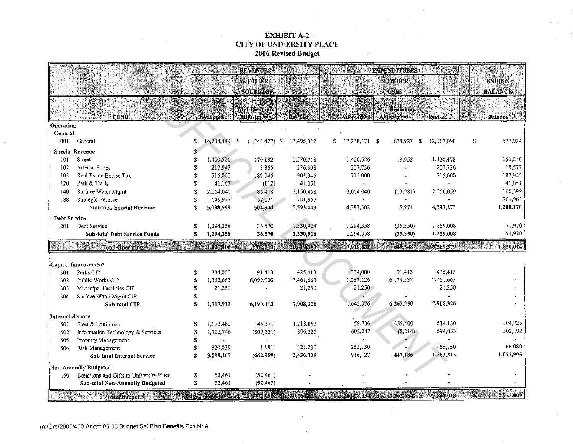# EXHIBIT A-2 CITY OF UNIVERSITY PLACE 2006 Revised Budget

|                       |                                         |     |               | <b>REVENUES</b>                                                             |                |    |               | <b>EXPENDITURES</b> |                    |   |                    |
|-----------------------|-----------------------------------------|-----|---------------|-----------------------------------------------------------------------------|----------------|----|---------------|---------------------|--------------------|---|--------------------|
|                       |                                         |     |               | & OTHER                                                                     |                |    |               | <b>&amp; OTHER</b>  |                    |   | <b>ENDING</b>      |
|                       |                                         |     |               | <b>SOURCES</b>                                                              |                |    |               | <b>USES:</b>        |                    |   | <b>BALANCE</b>     |
|                       |                                         |     |               |                                                                             |                |    |               |                     |                    |   |                    |
|                       |                                         |     |               | <b>Mid-Biennium</b>                                                         |                |    |               | Mid-Biennium        |                    |   |                    |
|                       | <b>FUND</b>                             |     | Adopted       | Adjustments                                                                 | <b>Revised</b> |    | Adopted       | Adjustments         | <b>Revised</b>     |   | Balance            |
| Operating             |                                         |     |               |                                                                             |                |    |               |                     |                    |   |                    |
| General               |                                         |     |               |                                                                             |                |    |               |                     |                    |   |                    |
| 001                   | General                                 | S   | 14,738,449 \$ | $(1,243,427)$ \$                                                            | 13,495,022     | S. | 12,238,171 \$ | 678,927             | 12,917,098<br>- \$ | S | 577,924            |
|                       | <b>Special Revenue</b>                  |     |               |                                                                             |                |    |               |                     |                    |   |                    |
| 101                   | Street                                  | S   | 1,400,526     | 170,192                                                                     | 1,570,718      |    | 1,400,526     | 19,952              | 1,420,478          |   | 150,240            |
| 102                   | <b>Arterial Street</b>                  | S   | 217,943       | 8,365                                                                       | 226,308        |    | 207,736       |                     | 207,736            |   | 18,572             |
| 103                   | Real Estate Excise Tax                  | \$  | 715,000       | 187,945                                                                     | 902,945        |    | 715,000       |                     | 715,000            |   | 187,945            |
| 120                   | Path & Trails                           | S   | 41,163        | (112)                                                                       | 41,051         |    |               |                     |                    |   | 41,051             |
| 140                   | Surface Water Mgmt                      | S   | 2,064,040     | 86,418                                                                      | 2,150,458      |    | 2,064,040     | (13,981)            | 2,050,059          |   | 100,399            |
| 188                   | Strategic Reserve                       |     | 649,927       | 52,036                                                                      | 701,963        |    |               |                     |                    |   | 701,963            |
|                       | Sub-total Special Revenue               | \$  | 5,088,599     | 504,844                                                                     | 5,593,443      |    | 4,387,302     | 5,971               | 4,393,273          |   | 1,200,170          |
| <b>Debt Service</b>   |                                         |     |               |                                                                             |                |    |               |                     |                    |   |                    |
| 201                   | Debt Service                            | \$  | 1,294,358     | 36,570                                                                      | 1,330,928      |    | 1,294,358     | (35, 350)           | 1,259,008          |   | 71,920             |
|                       | <b>Sub-total Debt Service Funds</b>     | S.  | 1,294,358     | 36,570                                                                      | 1,330,928      |    | 1,294,358     | (35, 350)           | 1,259,008          |   | 71,920             |
|                       | <b>Total Operating Commission</b>       |     |               | 21,121,406 (702.013)                                                        | 20.419,393     |    | 17,919,831    | 649,548             | 18,569,379         |   | 1,850,014          |
|                       |                                         |     |               |                                                                             |                |    |               |                     |                    |   |                    |
|                       | Capital Improvement                     |     |               |                                                                             |                |    |               |                     |                    |   |                    |
| 301                   | Parks CIP                               | \$  | 334,000       | 91,413                                                                      | 425,413        |    | 334,000       | 91,413              | 425,413            |   |                    |
| 302                   | Public Works CIP                        | \$  | 1.362,663     | 6,099,000                                                                   | 7,461,663      |    | 1,287,126     | 6,174,537           | 7,461,663          |   |                    |
| 303                   | Municipal Facilities CIP                |     | 21,250        |                                                                             | 21,250         |    | 21,250        |                     | 21,250             |   |                    |
| 304                   | Surface Water Mgmt CIP                  | S.  |               |                                                                             |                |    |               |                     |                    |   |                    |
|                       | Sub-total CIP                           | \$  | 1,717,913     | 6,190,413                                                                   | 7,908,326      |    | 1,642,376     | 6,265,950           | 7,908,326          |   |                    |
|                       |                                         |     |               |                                                                             |                |    |               |                     |                    |   |                    |
| Internal Service      |                                         |     |               |                                                                             |                |    |               |                     |                    |   |                    |
| 501                   | Fleet & Equipment                       |     | 1,073,482     | 145,371                                                                     | 1,218,853      |    | 58,730        | 455,400             | 514,130            |   | 704,723<br>302,192 |
| 502                   | Information Technology & Services       | S   | 1,705,746     | (809, 521)                                                                  | 896,225        |    | 602,247       | (8,214)             | 594,033            |   |                    |
| 505                   | Property Management                     | \$  |               |                                                                             |                |    |               |                     |                    |   | 66,080             |
| 506                   | Risk Management                         | \$. | 320,039       | 1,191                                                                       | 321,230        |    | 255,150       |                     | 255,150            |   | 1,072,995          |
|                       | Sub-total Internal Service              | \$  | 3.099,267     | (662.959)                                                                   | 2,436,308      |    | 916,127       | 447,186             | 1,363,313          |   |                    |
| Non-Annually Budgeted |                                         |     |               |                                                                             |                |    |               |                     |                    |   |                    |
| 150                   | Donations and Gifts to University Place | \$  | 52,461        | (52.461)                                                                    |                |    |               |                     |                    |   |                    |
|                       | <b>Sub-total Non-Annually Budgeted</b>  | \$  | 52,461        | (52, 461)                                                                   |                |    |               |                     |                    |   |                    |
|                       | <b>Total Budget</b>                     |     |               | S 25,991,047 S 4,772,980 S 30,164,027 S 20,478,334 S 7,362,684 S 27,841,018 |                |    |               |                     |                    |   | 2,923,009          |

 $\sim$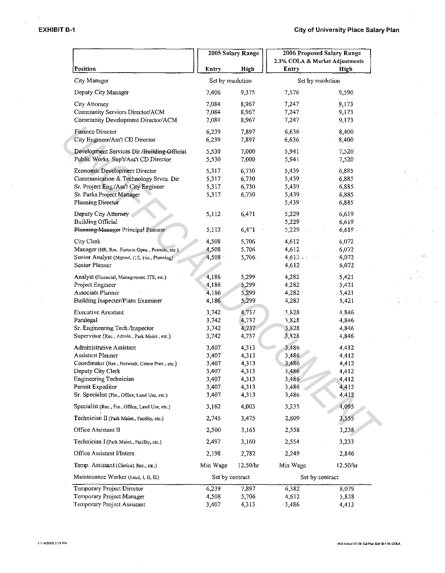|                                                 | 2005 Salary Range |           | 2006 Proposed Salary Range     |       |  |  |
|-------------------------------------------------|-------------------|-----------|--------------------------------|-------|--|--|
|                                                 |                   |           | 2.3% COLA & Market Adjustments |       |  |  |
| Position                                        | Entry             | High      | Entry                          | High  |  |  |
| City Manager                                    | Set by resolution |           | Set by resolution              |       |  |  |
| Deputy City Manager                             | 7,406             | 9,375     | 7,576                          | 9,590 |  |  |
| City Attorney                                   | 7,084             | 8,967     | 7,247                          | 9,173 |  |  |
| Community Services Director/ACM                 | 7,084             | 8,967     | 7,247                          | 9,173 |  |  |
| Community Development Director/ACM              | 7,084             | 8,967     | 7,247                          | 9,173 |  |  |
| Finance Director                                | 6,239             | 7,897     | 6,636                          | 8,400 |  |  |
| City Engineer/Ass't CD Director                 | 6,239             | 7,897     | 6,636                          | 8,400 |  |  |
| Development Services Dir./Building Official     | 5,530             | 7,000     | 5,941                          | 7,520 |  |  |
| Public Works Sup't/Ass't CD Director            | 5,530             | 7,000     | 5,941.                         | 7,520 |  |  |
| Economic Development Director                   | 5,317             | 6,730     | 5,439                          | 6,885 |  |  |
| Communication & Technology Srvcs. Dir.          | 5,317             | 6,730     | 5,439                          | 6,885 |  |  |
| Sr. Project Eng./Ass't City Engineer            | 5,317             | 6,730     | 5,439.                         | 6,885 |  |  |
| Sr. Parks Project Manager                       | 5,317             | 6,730     | 5,439                          | 6,885 |  |  |
| <b>Planning Director</b>                        |                   |           | 5,439                          | 6,885 |  |  |
| Deputy City Attorney                            | 5,112             | 6,471     | 5,229                          | 6,619 |  |  |
| Building Official.                              |                   |           | 5,229                          | 6,619 |  |  |
| Planning Manager Principal Planner              | 5,112             | 6,471     | 5,229.                         | 6,619 |  |  |
| City Clerk                                      | 4,508             | 5,706     | 4,612                          | 6,072 |  |  |
| Manager (HR, Rec. Finance Opns, Permits, etc.)  | 4,508             | 5,706     | 4,612                          | 6,072 |  |  |
| Senior Analyst (Mgnart, ITS, Fin., Planning)    | 4,508             | $5,706$ . | 4.612.94                       | 6,072 |  |  |
| Senior Planner                                  |                   |           | 4,612                          | 6,072 |  |  |
| Analyst (Financial, Management, ITS, etc.)      | 4,186             | 5,299     | 4,282                          | 5,421 |  |  |
| Project Engineer                                | 4,186             | 5,299     | 4,282                          | 5,421 |  |  |
| Associate Planner                               | 4,186             | 5,299     | 4,282                          | 5,421 |  |  |
| Building Inspector/Plans Examiner               | 4,186             | 5,299     | 4,282                          | 5,421 |  |  |
| <b>Executive Assistant</b>                      | 3,742             | 4,737     | 3,828                          | 4.846 |  |  |
| Paralegal                                       | 3,742             | 4,737     | 3,828                          | 4,846 |  |  |
| Sr. Engineering Tech./Inspector                 | 3,742             | 4,737     | 3,828                          | 4,846 |  |  |
| Supervisor (Rec., Admin., Park Maint., etc.)    | 3,742             | 4,737.    | 3,828                          | 4,846 |  |  |
| Administrative Assistant                        | 3,407             | 4,313     | 3,486                          | 4,412 |  |  |
| Assistant Planner                               | 3,407             | 4,313     | 3,486                          | 4,412 |  |  |
| Coordinator (Rec., Network, Crime Prev., etc.)  | 3,407             | 4,313     | 3,486                          | 4,412 |  |  |
| Deputy City Clerk                               | 3,407             | 4,313     | 3,486                          | 4,412 |  |  |
| Engineering Technician                          | 3,407             | 4.313     | 3,486                          | 4,412 |  |  |
| Permit Expeditor                                | 3,407             | 4,313     | 3,486                          | 4,412 |  |  |
| Sr. Specialist (Fin., Office, Land Use, etc.)   | 3,407             | 4,313     | 3,486                          | 4,412 |  |  |
| Specialist (Rec., Fin., Office, Land Use, etc.) | 3,162             | 4,003     | 3,235                          | 4,095 |  |  |
| Technician II (Park Maint., Facility, etc.)     | 2,745             | 3,475     | 2,809                          | 3,555 |  |  |
| Office Assistant II                             | 2,500             | 3,165     | 2,558                          | 3,238 |  |  |
| Technician I (Park Maint, Facility, etc.)       | 2,497             | 3,160     | 2,554                          | 3,233 |  |  |
| Office Assistant I/Intern                       | 2,198             | 2,782     | 2,249                          | 2,846 |  |  |
| Temp. Assistant (Clerical, Rec., etc.)          | Min Wage          | 12.50/hr  |                                |       |  |  |
|                                                 |                   |           | Min Wage<br>12.50/hr           |       |  |  |
| Maintenance Worker (Lead, I, II, III)           | Set by contract   |           | Set by contract                |       |  |  |
| Temporary Project Director                      | 6,239             | 7,897     | 6,382                          | 8,079 |  |  |
| Temporary Project Manager                       | 4,508             | 5,706     | 4,612                          | 5,838 |  |  |
| Temporary Project Assistant                     | 3,407             | 4,313     | 3,486                          | 4,413 |  |  |

чÈ,

 $\overline{\phantom{a}}$